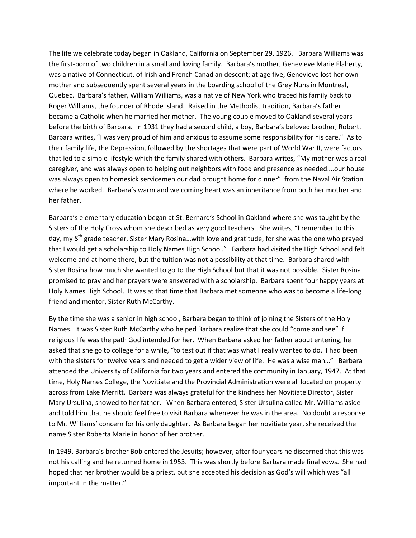The life we celebrate today began in Oakland, California on September 29, 1926. Barbara Williams was the first-born of two children in a small and loving family. Barbara's mother, Genevieve Marie Flaherty, was a native of Connecticut, of Irish and French Canadian descent; at age five, Genevieve lost her own mother and subsequently spent several years in the boarding school of the Grey Nuns in Montreal, Quebec. Barbara's father, William Williams, was a native of New York who traced his family back to Roger Williams, the founder of Rhode Island. Raised in the Methodist tradition, Barbara's father became a Catholic when he married her mother. The young couple moved to Oakland several years before the birth of Barbara. In 1931 they had a second child, a boy, Barbara's beloved brother, Robert. Barbara writes, "I was very proud of him and anxious to assume some responsibility for his care." As to their family life, the Depression, followed by the shortages that were part of World War II, were factors that led to a simple lifestyle which the family shared with others. Barbara writes, "My mother was a real caregiver, and was always open to helping out neighbors with food and presence as needed….our house was always open to homesick servicemen our dad brought home for dinner" from the Naval Air Station where he worked. Barbara's warm and welcoming heart was an inheritance from both her mother and her father.

Barbara's elementary education began at St. Bernard's School in Oakland where she was taught by the Sisters of the Holy Cross whom she described as very good teachers. She writes, "I remember to this day, my 8<sup>th</sup> grade teacher, Sister Mary Rosina...with love and gratitude, for she was the one who prayed that I would get a scholarship to Holy Names High School." Barbara had visited the High School and felt welcome and at home there, but the tuition was not a possibility at that time. Barbara shared with Sister Rosina how much she wanted to go to the High School but that it was not possible. Sister Rosina promised to pray and her prayers were answered with a scholarship. Barbara spent four happy years at Holy Names High School. It was at that time that Barbara met someone who was to become a life-long friend and mentor, Sister Ruth McCarthy.

By the time she was a senior in high school, Barbara began to think of joining the Sisters of the Holy Names. It was Sister Ruth McCarthy who helped Barbara realize that she could "come and see" if religious life was the path God intended for her. When Barbara asked her father about entering, he asked that she go to college for a while, "to test out if that was what I really wanted to do. I had been with the sisters for twelve years and needed to get a wider view of life. He was a wise man..." Barbara attended the University of California for two years and entered the community in January, 1947. At that time, Holy Names College, the Novitiate and the Provincial Administration were all located on property across from Lake Merritt. Barbara was always grateful for the kindness her Novitiate Director, Sister Mary Ursulina, showed to her father. When Barbara entered, Sister Ursulina called Mr. Williams aside and told him that he should feel free to visit Barbara whenever he was in the area. No doubt a response to Mr. Williams' concern for his only daughter. As Barbara began her novitiate year, she received the name Sister Roberta Marie in honor of her brother.

In 1949, Barbara's brother Bob entered the Jesuits; however, after four years he discerned that this was not his calling and he returned home in 1953. This was shortly before Barbara made final vows. She had hoped that her brother would be a priest, but she accepted his decision as God's will which was "all important in the matter."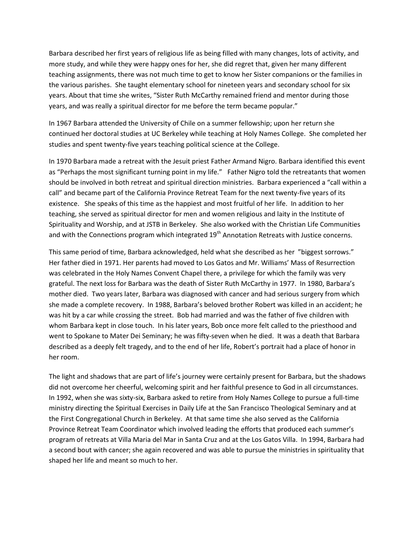Barbara described her first years of religious life as being filled with many changes, lots of activity, and more study, and while they were happy ones for her, she did regret that, given her many different teaching assignments, there was not much time to get to know her Sister companions or the families in the various parishes. She taught elementary school for nineteen years and secondary school for six years. About that time she writes, "Sister Ruth McCarthy remained friend and mentor during those years, and was really a spiritual director for me before the term became popular."

In 1967 Barbara attended the University of Chile on a summer fellowship; upon her return she continued her doctoral studies at UC Berkeley while teaching at Holy Names College. She completed her studies and spent twenty-five years teaching political science at the College.

In 1970 Barbara made a retreat with the Jesuit priest Father Armand Nigro. Barbara identified this event as "Perhaps the most significant turning point in my life." Father Nigro told the retreatants that women should be involved in both retreat and spiritual direction ministries. Barbara experienced a "call within a call" and became part of the California Province Retreat Team for the next twenty-five years of its existence. She speaks of this time as the happiest and most fruitful of her life. In addition to her teaching, she served as spiritual director for men and women religious and laity in the Institute of Spirituality and Worship, and at JSTB in Berkeley. She also worked with the Christian Life Communities and with the Connections program which integrated  $19<sup>th</sup>$  Annotation Retreats with Justice concerns.

This same period of time, Barbara acknowledged, held what she described as her "biggest sorrows." Her father died in 1971. Her parents had moved to Los Gatos and Mr. Williams' Mass of Resurrection was celebrated in the Holy Names Convent Chapel there, a privilege for which the family was very grateful. The next loss for Barbara was the death of Sister Ruth McCarthy in 1977. In 1980, Barbara's mother died. Two years later, Barbara was diagnosed with cancer and had serious surgery from which she made a complete recovery. In 1988, Barbara's beloved brother Robert was killed in an accident; he was hit by a car while crossing the street. Bob had married and was the father of five children with whom Barbara kept in close touch. In his later years, Bob once more felt called to the priesthood and went to Spokane to Mater Dei Seminary; he was fifty-seven when he died. It was a death that Barbara described as a deeply felt tragedy, and to the end of her life, Robert's portrait had a place of honor in her room.

The light and shadows that are part of life's journey were certainly present for Barbara, but the shadows did not overcome her cheerful, welcoming spirit and her faithful presence to God in all circumstances. In 1992, when she was sixty-six, Barbara asked to retire from Holy Names College to pursue a full-time ministry directing the Spiritual Exercises in Daily Life at the San Francisco Theological Seminary and at the First Congregational Church in Berkeley. At that same time she also served as the California Province Retreat Team Coordinator which involved leading the efforts that produced each summer's program of retreats at Villa Maria del Mar in Santa Cruz and at the Los Gatos Villa. In 1994, Barbara had a second bout with cancer; she again recovered and was able to pursue the ministries in spirituality that shaped her life and meant so much to her.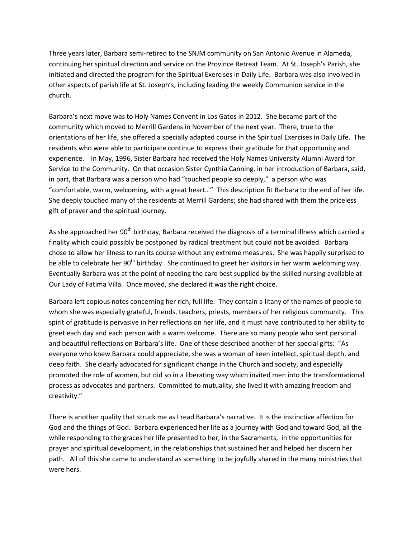Three years later, Barbara semi-retired to the SNJM community on San Antonio Avenue in Alameda, continuing her spiritual direction and service on the Province Retreat Team. At St. Joseph's Parish, she initiated and directed the program for the Spiritual Exercises in Daily Life. Barbara was also involved in other aspects of parish life at St. Joseph's, including leading the weekly Communion service in the church.

Barbara's next move was to Holy Names Convent in Los Gatos in 2012. She became part of the community which moved to Merrill Gardens in November of the next year. There, true to the orientations of her life, she offered a specially adapted course in the Spiritual Exercises in Daily Life. The residents who were able to participate continue to express their gratitude for that opportunity and experience. In May, 1996, Sister Barbara had received the Holy Names University Alumni Award for Service to the Community. On that occasion Sister Cynthia Canning, in her introduction of Barbara, said, in part, that Barbara was a person who had "touched people so deeply," a person who was "comfortable, warm, welcoming, with a great heart…" This description fit Barbara to the end of her life. She deeply touched many of the residents at Merrill Gardens; she had shared with them the priceless gift of prayer and the spiritual journey.

As she approached her 90<sup>th</sup> birthday, Barbara received the diagnosis of a terminal illness which carried a finality which could possibly be postponed by radical treatment but could not be avoided. Barbara chose to allow her illness to run its course without any extreme measures. She was happily surprised to be able to celebrate her  $90<sup>th</sup>$  birthday. She continued to greet her visitors in her warm welcoming way. Eventually Barbara was at the point of needing the care best supplied by the skilled nursing available at Our Lady of Fatima Villa. Once moved, she declared it was the right choice.

Barbara left copious notes concerning her rich, full life. They contain a litany of the names of people to whom she was especially grateful, friends, teachers, priests, members of her religious community. This spirit of gratitude is pervasive in her reflections on her life, and it must have contributed to her ability to greet each day and each person with a warm welcome. There are so many people who sent personal and beautiful reflections on Barbara's life. One of these described another of her special gifts: "As everyone who knew Barbara could appreciate, she was a woman of keen intellect, spiritual depth, and deep faith. She clearly advocated for significant change in the Church and society, and especially promoted the role of women, but did so in a liberating way which invited men into the transformational process as advocates and partners. Committed to mutuality, she lived it with amazing freedom and creativity."

There is another quality that struck me as I read Barbara's narrative. It is the instinctive affection for God and the things of God. Barbara experienced her life as a journey with God and toward God, all the while responding to the graces her life presented to her, in the Sacraments, in the opportunities for prayer and spiritual development, in the relationships that sustained her and helped her discern her path. All of this she came to understand as something to be joyfully shared in the many ministries that were hers.